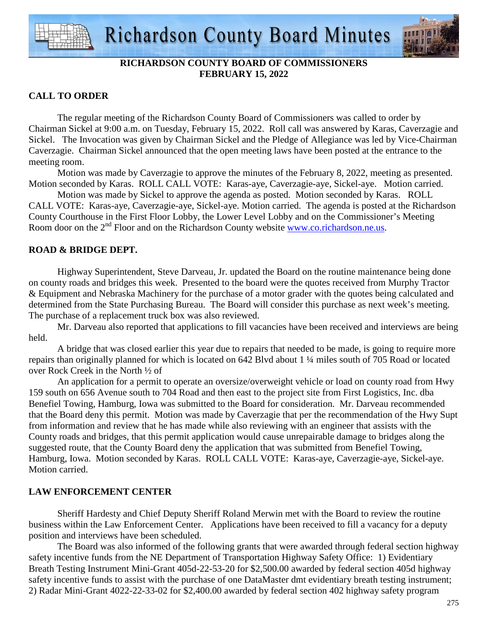

## **RICHARDSON COUNTY BOARD OF COMMISSIONERS FEBRUARY 15, 2022**

## **CALL TO ORDER**

 The regular meeting of the Richardson County Board of Commissioners was called to order by Chairman Sickel at 9:00 a.m. on Tuesday, February 15, 2022. Roll call was answered by Karas, Caverzagie and Sickel. The Invocation was given by Chairman Sickel and the Pledge of Allegiance was led by Vice-Chairman Caverzagie. Chairman Sickel announced that the open meeting laws have been posted at the entrance to the meeting room.

 Motion was made by Caverzagie to approve the minutes of the February 8, 2022, meeting as presented. Motion seconded by Karas. ROLL CALL VOTE: Karas-aye, Caverzagie-aye, Sickel-aye. Motion carried.

 Motion was made by Sickel to approve the agenda as posted. Motion seconded by Karas. ROLL CALL VOTE: Karas-aye, Caverzagie-aye, Sickel-aye. Motion carried. The agenda is posted at the Richardson County Courthouse in the First Floor Lobby, the Lower Level Lobby and on the Commissioner's Meeting Room door on the 2<sup>nd</sup> Floor and on the Richardson County website www.co.richardson.ne.us.

## **ROAD & BRIDGE DEPT.**

 Highway Superintendent, Steve Darveau, Jr. updated the Board on the routine maintenance being done on county roads and bridges this week. Presented to the board were the quotes received from Murphy Tractor & Equipment and Nebraska Machinery for the purchase of a motor grader with the quotes being calculated and determined from the State Purchasing Bureau. The Board will consider this purchase as next week's meeting. The purchase of a replacement truck box was also reviewed.

Mr. Darveau also reported that applications to fill vacancies have been received and interviews are being held.

A bridge that was closed earlier this year due to repairs that needed to be made, is going to require more repairs than originally planned for which is located on 642 Blvd about 1 ¼ miles south of 705 Road or located over Rock Creek in the North ½ of

 An application for a permit to operate an oversize/overweight vehicle or load on county road from Hwy 159 south on 656 Avenue south to 704 Road and then east to the project site from First Logistics, Inc. dba Benefiel Towing, Hamburg, Iowa was submitted to the Board for consideration. Mr. Darveau recommended that the Board deny this permit. Motion was made by Caverzagie that per the recommendation of the Hwy Supt from information and review that he has made while also reviewing with an engineer that assists with the County roads and bridges, that this permit application would cause unrepairable damage to bridges along the suggested route, that the County Board deny the application that was submitted from Benefiel Towing, Hamburg, Iowa. Motion seconded by Karas. ROLL CALL VOTE: Karas-aye, Caverzagie-aye, Sickel-aye. Motion carried.

## **LAW ENFORCEMENT CENTER**

 Sheriff Hardesty and Chief Deputy Sheriff Roland Merwin met with the Board to review the routine business within the Law Enforcement Center. Applications have been received to fill a vacancy for a deputy position and interviews have been scheduled.

The Board was also informed of the following grants that were awarded through federal section highway safety incentive funds from the NE Department of Transportation Highway Safety Office: 1) Evidentiary Breath Testing Instrument Mini-Grant 405d-22-53-20 for \$2,500.00 awarded by federal section 405d highway safety incentive funds to assist with the purchase of one DataMaster dmt evidentiary breath testing instrument; 2) Radar Mini-Grant 4022-22-33-02 for \$2,400.00 awarded by federal section 402 highway safety program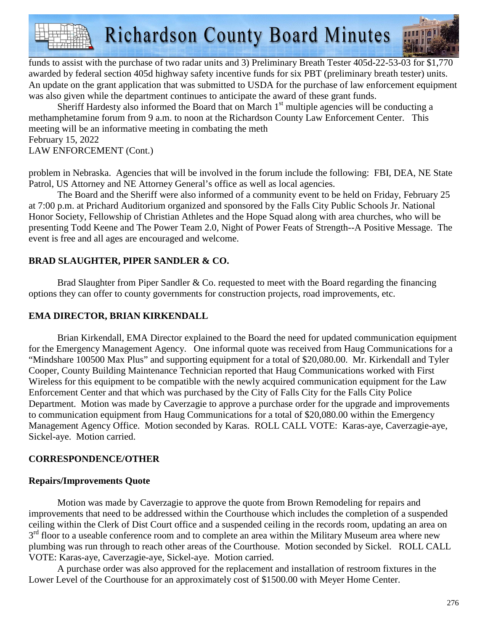**Richardson County Board Minutes** 

funds to assist with the purchase of two radar units and 3) Preliminary Breath Tester 405d-22-53-03 for \$1,770 awarded by federal section 405d highway safety incentive funds for six PBT (preliminary breath tester) units. An update on the grant application that was submitted to USDA for the purchase of law enforcement equipment was also given while the department continues to anticipate the award of these grant funds.

Sheriff Hardesty also informed the Board that on March  $1<sup>st</sup>$  multiple agencies will be conducting a methamphetamine forum from 9 a.m. to noon at the Richardson County Law Enforcement Center. This meeting will be an informative meeting in combating the meth February 15, 2022

LAW ENFORCEMENT (Cont.)

problem in Nebraska. Agencies that will be involved in the forum include the following: FBI, DEA, NE State Patrol, US Attorney and NE Attorney General's office as well as local agencies.

 The Board and the Sheriff were also informed of a community event to be held on Friday, February 25 at 7:00 p.m. at Prichard Auditorium organized and sponsored by the Falls City Public Schools Jr. National Honor Society, Fellowship of Christian Athletes and the Hope Squad along with area churches, who will be presenting Todd Keene and The Power Team 2.0, Night of Power Feats of Strength--A Positive Message. The event is free and all ages are encouraged and welcome.

# **BRAD SLAUGHTER, PIPER SANDLER & CO.**

Brad Slaughter from Piper Sandler  $& Co.$  requested to meet with the Board regarding the financing options they can offer to county governments for construction projects, road improvements, etc.

## **EMA DIRECTOR, BRIAN KIRKENDALL**

 Brian Kirkendall, EMA Director explained to the Board the need for updated communication equipment for the Emergency Management Agency. One informal quote was received from Haug Communications for a "Mindshare 100500 Max Plus" and supporting equipment for a total of \$20,080.00. Mr. Kirkendall and Tyler Cooper, County Building Maintenance Technician reported that Haug Communications worked with First Wireless for this equipment to be compatible with the newly acquired communication equipment for the Law Enforcement Center and that which was purchased by the City of Falls City for the Falls City Police Department. Motion was made by Caverzagie to approve a purchase order for the upgrade and improvements to communication equipment from Haug Communications for a total of \$20,080.00 within the Emergency Management Agency Office. Motion seconded by Karas. ROLL CALL VOTE: Karas-aye, Caverzagie-aye, Sickel-aye. Motion carried.

## **CORRESPONDENCE/OTHER**

## **Repairs/Improvements Quote**

 Motion was made by Caverzagie to approve the quote from Brown Remodeling for repairs and improvements that need to be addressed within the Courthouse which includes the completion of a suspended ceiling within the Clerk of Dist Court office and a suspended ceiling in the records room, updating an area on 3<sup>rd</sup> floor to a useable conference room and to complete an area within the Military Museum area where new plumbing was run through to reach other areas of the Courthouse. Motion seconded by Sickel. ROLL CALL VOTE: Karas-aye, Caverzagie-aye, Sickel-aye. Motion carried.

 A purchase order was also approved for the replacement and installation of restroom fixtures in the Lower Level of the Courthouse for an approximately cost of \$1500.00 with Meyer Home Center.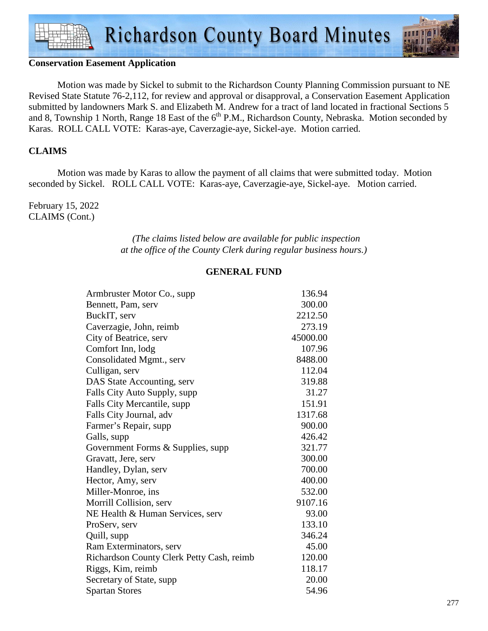### **Conservation Easement Application**

 Motion was made by Sickel to submit to the Richardson County Planning Commission pursuant to NE Revised State Statute 76-2,112, for review and approval or disapproval, a Conservation Easement Application submitted by landowners Mark S. and Elizabeth M. Andrew for a tract of land located in fractional Sections 5 and 8, Township 1 North, Range 18 East of the  $6<sup>th</sup>$  P.M., Richardson County, Nebraska. Motion seconded by Karas. ROLL CALL VOTE: Karas-aye, Caverzagie-aye, Sickel-aye. Motion carried.

#### **CLAIMS**

Motion was made by Karas to allow the payment of all claims that were submitted today. Motion seconded by Sickel. ROLL CALL VOTE: Karas-aye, Caverzagie-aye, Sickel-aye. Motion carried.

February 15, 2022 CLAIMS (Cont.)

> *(The claims listed below are available for public inspection at the office of the County Clerk during regular business hours.)*

#### **GENERAL FUND**

| Armbruster Motor Co., supp.               | 136.94   |
|-------------------------------------------|----------|
| Bennett, Pam, serv                        | 300.00   |
| BuckIT, serv                              | 2212.50  |
| Caverzagie, John, reimb                   | 273.19   |
| City of Beatrice, serv                    | 45000.00 |
| Comfort Inn, lodg                         | 107.96   |
| Consolidated Mgmt., serv                  | 8488.00  |
| Culligan, serv                            | 112.04   |
| DAS State Accounting, serv                | 319.88   |
| Falls City Auto Supply, supp              | 31.27    |
| Falls City Mercantile, supp               | 151.91   |
| Falls City Journal, adv                   | 1317.68  |
| Farmer's Repair, supp                     | 900.00   |
| Galls, supp                               | 426.42   |
| Government Forms & Supplies, supp         | 321.77   |
| Gravatt, Jere, serv                       | 300.00   |
| Handley, Dylan, serv                      | 700.00   |
| Hector, Amy, serv                         | 400.00   |
| Miller-Monroe, ins                        | 532.00   |
| Morrill Collision, serv                   | 9107.16  |
| NE Health & Human Services, serv          | 93.00    |
| ProServ, serv                             | 133.10   |
| Quill, supp                               | 346.24   |
| Ram Exterminators, serv                   | 45.00    |
| Richardson County Clerk Petty Cash, reimb | 120.00   |
| Riggs, Kim, reimb                         | 118.17   |
| Secretary of State, supp                  | 20.00    |
| <b>Spartan Stores</b>                     | 54.96    |